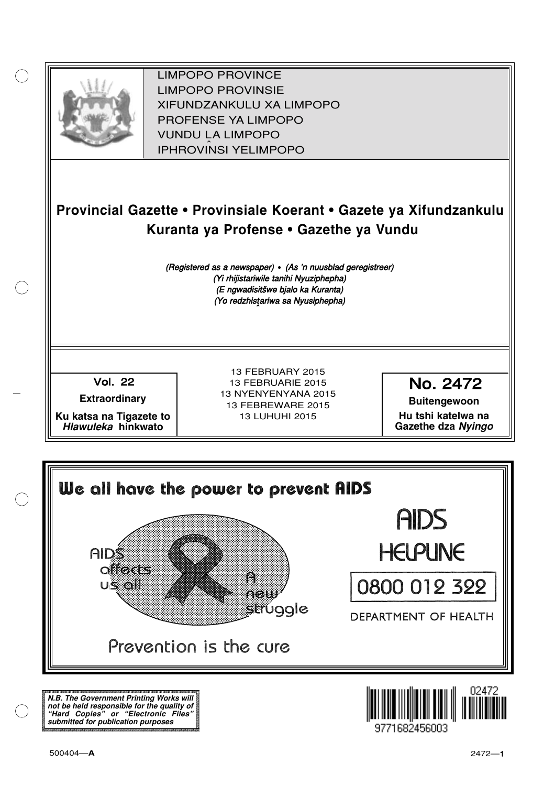

XIFUNDZANKULU XA LIMPOPO<br>PROFENCE XA LIMPORO PROFENSE YA LIMPOPO<br>WILDOLLA LIMPORO SOUTH A LIMPOPO<br>A LIPHROVINSI YELIMPOPO LIMPOPO PROVINCE LIMPOPO PROVINSIE IPHROVINSI YELIMPOPO

# **Provincial Gazette • Provinsiale Koerant • Gazete ya Xifundzankulu Kuranta ya Profense • Gazethe ya Vundu**

(Registered as a newspaper) • (As 'n nuusblad geregistreer) (Yi rhijistariwile tanihi Nyuziphepha) (E ngwadisitšwe bjalo ka Kuranta) (Yo redzhistariwa sa Nyusiphepha)

Vol.- 22

**Extraordinary**

**Ku katsa na Tigazete to Hlawuleka hinkwato**

13 FEBRUARY 2015 13 FEBRUARIE 2015 13 NYENYENYANA 2015 13 FEBREWARE 2015 13 LUHUHI 2015

No. 2472

**Buitengewoon Hu tshi katelwa na Gazethe dza Nyingo**



**N.B. The Government Printing Works will not be held responsible for the quality of "Hard Copies" or "Electronic Files" submitted for publication purposes**

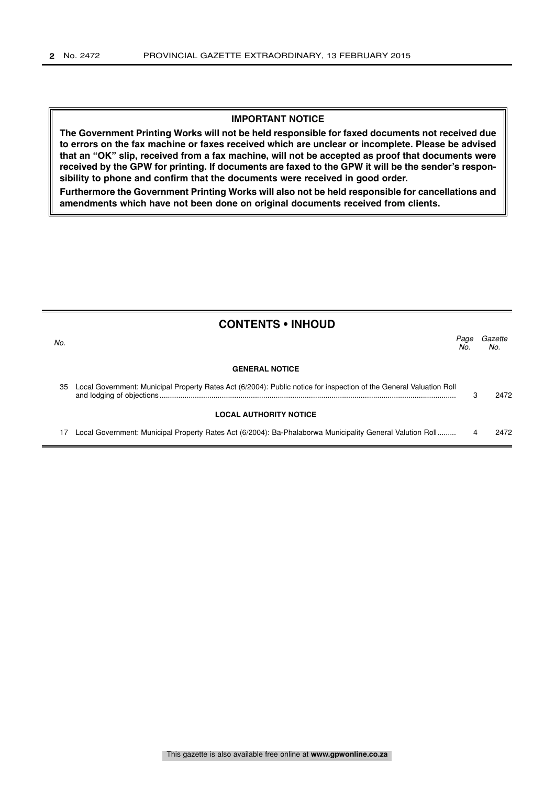#### **IMPORTANT NOTICE**

**The Government Printing Works will not be held responsible for faxed documents not received due to errors on the fax machine or faxes received which are unclear or incomplete. Please be advised that an "OK" slip, received from a fax machine, will not be accepted as proof that documents were received by the GPW for printing. If documents are faxed to the GPW it will be the sender's responsibility to phone and confirm that the documents were received in good order.**

**Furthermore the Government Printing Works will also not be held responsible for cancellations and amendments which have not been done on original documents received from clients.**

| <b>CONTENTS • INHOUD</b> |                                                                                                                     |             |                |
|--------------------------|---------------------------------------------------------------------------------------------------------------------|-------------|----------------|
| No.                      |                                                                                                                     | Page<br>No. | Gazette<br>No. |
|                          | <b>GENERAL NOTICE</b>                                                                                               |             |                |
| 35                       | Local Government: Municipal Property Rates Act (6/2004): Public notice for inspection of the General Valuation Roll |             | 2472           |
|                          | <b>LOCAL AUTHORITY NOTICE</b>                                                                                       |             |                |
|                          | Local Government: Municipal Property Rates Act (6/2004): Ba-Phalaborwa Municipality General Valution Roll           |             | 2472           |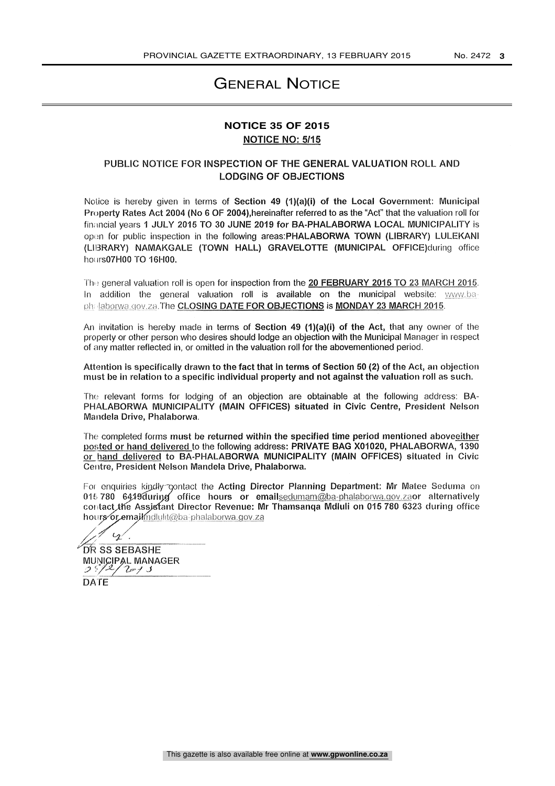### GENERAL NOTICE

### NOTICE NO: 5/15 **NOTICE 35 OF 2015**

#### PUBLIC NOTICE FOR INSPECTION OF THE GENERAL VALUATION ROLL AND LODGING OF OBJECTIONS

Notice is hereby given in terms of Section 49 (1)(a)(i) of the Local Government: Municipal Property Rates Act 2004 (No 6 OF 2004), hereinafter referred to as the "Act" that the valuation roll for financial years 1 JULY 2015 TO 30 JUNE 2019 for BA-PHALABORWA LOCAL MUNICIPALITY is open for public inspection in the following areas:PHALABORWA TOWN (LIBRARY) LULEKANI (LIBRARY) NAMAKGALE (TOWN HALL) GRAVELOTTE (MUNICIPAL OFFICE)during office hours07H00 TO 16H00.

The general valuation roll is open for inspection from the 20 FEBRUARY 2015 TO 23 MARCH 2015. In addition the general valuation roll is available on the municipal website: www.baph: laborwa.gov.za.The CLOSING DATE FOR OBJECTIONS is MONDAY 23 MARCH 2015.

An invitation is hereby made in terms of Section 49 (1)(a)(i) of the Act, that any owner of the property or other person who desires should lodge an objection with the Municipal Manager in respect of any matter reflected in, or omitted in the valuation roll for the abovementioned period.

Attention is specifically drawn to the fact that in terms of Section 50 (2) of the Act, an objection must be in relation to a specific individual property and not against the valuation roll as such.

The relevant forms for lodging of an objection are obtainable at the following address: BA-PHALABORWA MUNICIPALITY (MAIN OFFICES) situated in Civic Centre, President Nelson Mandela Drive, Phalaborwa.

The completed forms must be returned within the specified time period mentioned aboveeither posted or hand delivered to the following address: PRIVATE BAG X01020, PHALABORWA, 1390 or hand delivered to BA-PHALABORWA MUNICIPALITY (MAIN OFFICES) situated in Civic Centre, President Nelson Mandela Drive, Phalaborwa.

For enquiries kindly contact the Acting Director Planning Department: Mr Matee Seduma on 016 780 6419 during office hours or emailsedumam@ba-phalaborwa.gov.zaor alternatively contact the Assistant Director Revenue: Mr Thamsanga Mdluli on 015 780 6323 during office hours or email mellulit@ba-phalaborwa.gov.za

 $\mathcal{Q}'$  . **DR SS SEBASHE** MUNICIPAL MANAGER

 $25/2/$ DATE